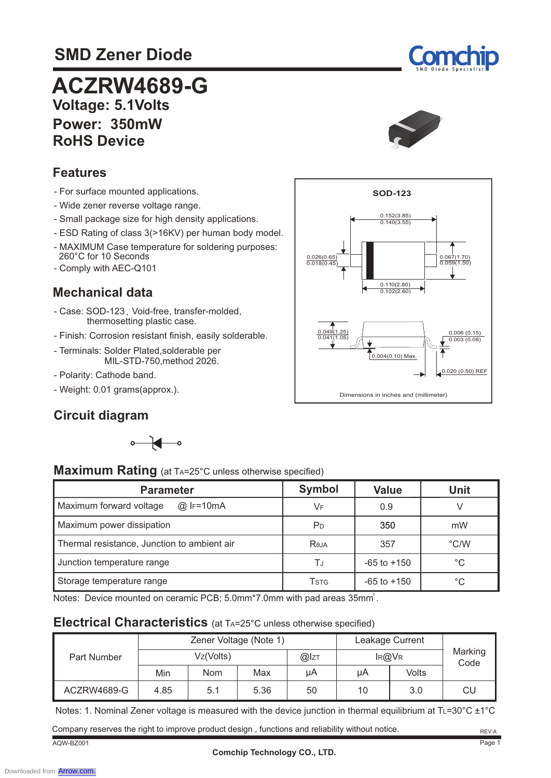# **SMD Zener Diode**



 **Voltage: 5.1Volts Power: 350mW RoHS Device ACZRW4689-G** 



### **Features**

- For surface mounted applications.
- Wide zener reverse voltage range.
- Small package size for high density applications.
- ESD Rating of class 3(>16KV) per human body model.
- MAXIMUM Case temperature for soldering purposes: 260°C for 10 Seconds
- Comply with AEC-Q101

#### **Mechanical data**

- Case: SOD-123, Void-free, transfer-molded, thermosetting plastic case.
- Finish: Corrosion resistant finish, easily solderable.
- Terminals: Solder Plated,solderable per MIL-STD-750,method 2026.
- Polarity: Cathode band.
- Weight: 0.01 grams(approx.).

### **Circuit diagram**





| Maximum Rating (at TA=25°C unless otherwise specified) |  |  |
|--------------------------------------------------------|--|--|
|--------------------------------------------------------|--|--|

| <b>Parameter</b>                            | <b>Symbol</b>  | <b>Value</b>    | Unit          |
|---------------------------------------------|----------------|-----------------|---------------|
| Maximum forward voltage<br>@ IF=10mA        | VF             | 0.9             |               |
| Maximum power dissipation                   | P <sub>D</sub> | 350             | mW            |
| Thermal resistance, Junction to ambient air | Reja           | 357             | $\degree$ C/W |
| Junction temperature range                  | ΤJ             | $-65$ to $+150$ | °C            |
| Storage temperature range                   | <b>T</b> stg   | $-65$ to $+150$ | °C            |

Notes: Device mounted on ceramic PCB; 5.0mm\*7.0mm with pad areas 35mm<sup>2</sup>.

#### **Electrical Characteristics** (at TA=25°C unless otherwise specified)

| Zener Voltage (Note 1) |           |            |      | Leakage Current |       |       |                 |
|------------------------|-----------|------------|------|-----------------|-------|-------|-----------------|
| Part Number            | Vz(Volts) |            |      | @Izt            | IR@VR |       | Marking<br>Code |
|                        | Min       | <b>Nom</b> | Max  | uА              | μA    | Volts |                 |
| ACZRW4689-G            | 4.85      | 5.1        | 5.36 | 50              | 10    | 3.0   | CU              |

Notes: 1. Nominal Zener voltage is measured with the device junction in thermal equilibrium at T∟=30°C ±1°C

AQW-BZ001 Company reserves the right to improve product design , functions and reliability without notice.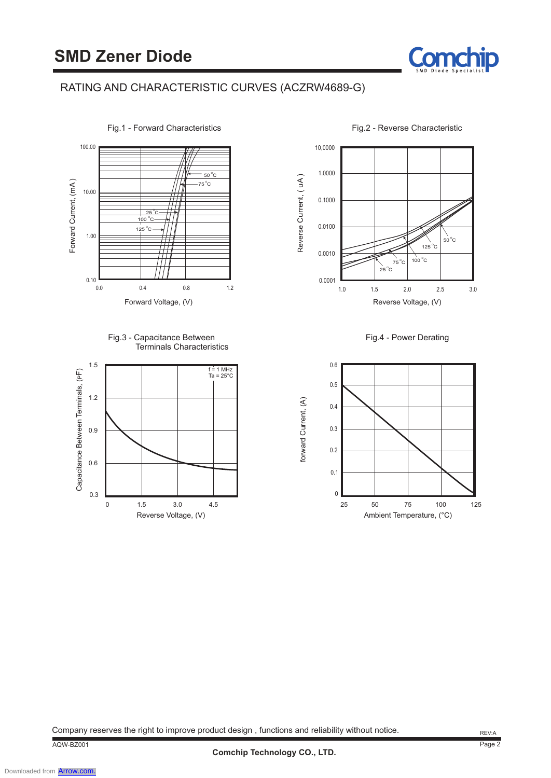



Fig.1 - Forward Characteristics

Fig.3 - Capacitance Between Terminals Characteristics





Fig.2 - Reverse Characteristic

Cor

Fig.4 - Power Derating



Company reserves the right to improve product design , functions and reliability without notice.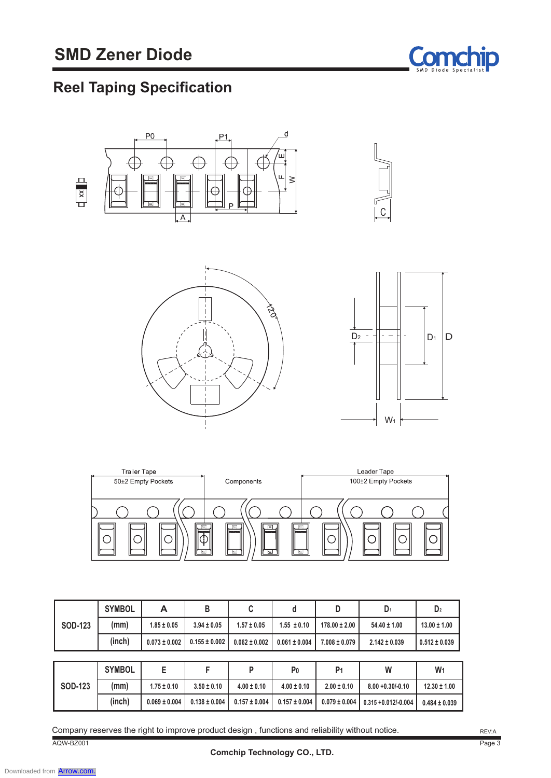

# **Reel Taping Specification**



| Fraller Tape       |                    | Leader Tape         |
|--------------------|--------------------|---------------------|
| 50±2 Empty Pockets | Components         | 100±2 Empty Pockets |
|                    |                    |                     |
|                    |                    |                     |
|                    |                    |                     |
|                    |                    |                     |
|                    |                    |                     |
|                    | $\equiv$<br>同<br>E | 同                   |
|                    |                    |                     |
|                    |                    |                     |
|                    | 티<br>ਥ<br>티        | ⊟                   |
|                    |                    |                     |

|                | <b>SYMBOL</b> | А                 | B                 | C                 | d                 | D                 | D <sub>1</sub>       | D <sub>2</sub>    |
|----------------|---------------|-------------------|-------------------|-------------------|-------------------|-------------------|----------------------|-------------------|
| <b>SOD-123</b> | (mm)          | $1.85 \pm 0.05$   | $3.94 \pm 0.05$   | $1.57 \pm 0.05$   | $1.55 \pm 0.10$   | $178.00 \pm 2.00$ | $54.40 \pm 1.00$     | $13.00 \pm 1.00$  |
|                | (inch)        | $0.073 \pm 0.002$ | $0.155 \pm 0.002$ | $0.062 \pm 0.002$ | $0.061 \pm 0.004$ | $7.008 \pm 0.079$ | $2.142 \pm 0.039$    | $0.512 \pm 0.039$ |
|                |               |                   |                   |                   |                   |                   |                      |                   |
|                |               |                   |                   |                   |                   |                   |                      |                   |
|                | <b>SYMBOL</b> | E                 | F                 | P                 | P <sub>0</sub>    | P <sub>1</sub>    | W                    | W <sub>1</sub>    |
| <b>SOD-123</b> | (mm)          | $1.75 \pm 0.10$   | $3.50 \pm 0.10$   | $4.00 \pm 0.10$   | $4.00 \pm 0.10$   | $2.00 \pm 0.10$   | $8.00 + 0.30/- 0.10$ | $12.30 \pm 1.00$  |

AQW-BZ001 Company reserves the right to improve product design , functions and reliability without notice.